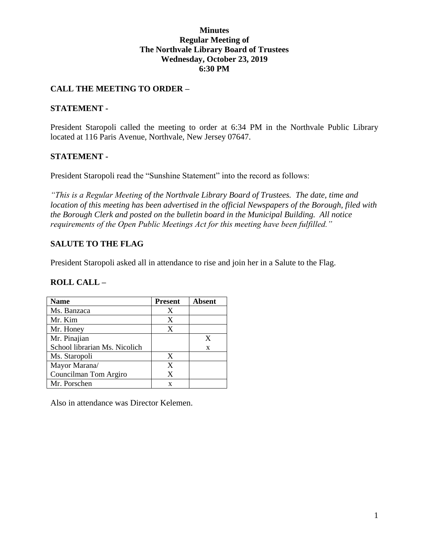#### **Minutes Regular Meeting of The Northvale Library Board of Trustees Wednesday, October 23, 2019 6:30 PM**

#### **CALL THE MEETING TO ORDER –**

#### **STATEMENT -**

President Staropoli called the meeting to order at 6:34 PM in the Northvale Public Library located at 116 Paris Avenue, Northvale, New Jersey 07647.

#### **STATEMENT -**

President Staropoli read the "Sunshine Statement" into the record as follows:

*"This is a Regular Meeting of the Northvale Library Board of Trustees. The date, time and location of this meeting has been advertised in the official Newspapers of the Borough, filed with the Borough Clerk and posted on the bulletin board in the Municipal Building. All notice requirements of the Open Public Meetings Act for this meeting have been fulfilled."* 

#### **SALUTE TO THE FLAG**

President Staropoli asked all in attendance to rise and join her in a Salute to the Flag.

#### **ROLL CALL –**

| <b>Name</b>                   | <b>Present</b> | <b>Absent</b> |
|-------------------------------|----------------|---------------|
| Ms. Banzaca                   | X              |               |
| Mr. Kim                       | X              |               |
| Mr. Honey                     | X              |               |
| Mr. Pinajian                  |                | X             |
| School librarian Ms. Nicolich |                | X             |
| Ms. Staropoli                 | X              |               |
| Mayor Marana/                 | X              |               |
| Councilman Tom Argiro         | X              |               |
| Mr. Porschen                  | X              |               |

Also in attendance was Director Kelemen.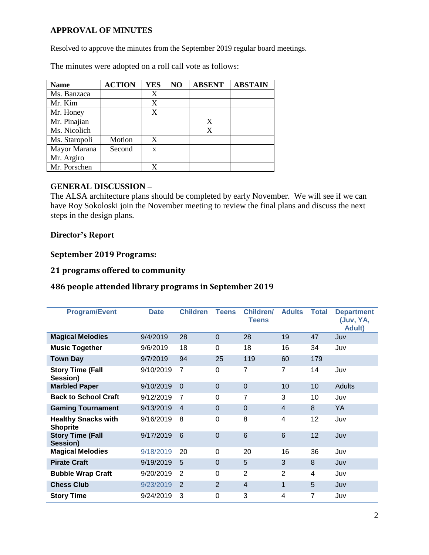#### **APPROVAL OF MINUTES**

Resolved to approve the minutes from the September 2019 regular board meetings.

The minutes were adopted on a roll call vote as follows:

| <b>Name</b>   | <b>ACTION</b> | <b>YES</b> | NO | <b>ABSENT</b> | <b>ABSTAIN</b> |
|---------------|---------------|------------|----|---------------|----------------|
| Ms. Banzaca   |               | X          |    |               |                |
| Mr. Kim       |               | X          |    |               |                |
| Mr. Honey     |               | X          |    |               |                |
| Mr. Pinajian  |               |            |    | X             |                |
| Ms. Nicolich  |               |            |    | X             |                |
| Ms. Staropoli | Motion        | X          |    |               |                |
| Mayor Marana  | Second        | X          |    |               |                |
| Mr. Argiro    |               |            |    |               |                |
| Mr. Porschen  |               |            |    |               |                |

#### **GENERAL DISCUSSION –**

The ALSA architecture plans should be completed by early November. We will see if we can have Roy Sokoloski join the November meeting to review the final plans and discuss the next steps in the design plans.

#### **Director's Report**

#### **September 2019 Programs:**

## **21 programs offered to community**

## **486 people attended library programs in September 2019**

| <b>Program/Event</b>                          | <b>Date</b> | <b>Children</b> | <b>Teens</b> | <b>Children/</b><br><b>Teens</b> | <b>Adults</b>  | <b>Total</b> | <b>Department</b><br>(Juv, YA,<br><b>Adult</b> ) |
|-----------------------------------------------|-------------|-----------------|--------------|----------------------------------|----------------|--------------|--------------------------------------------------|
| <b>Magical Melodies</b>                       | 9/4/2019    | 28              | $\Omega$     | 28                               | 19             | 47           | Juv                                              |
| <b>Music Together</b>                         | 9/6/2019    | 18              | $\Omega$     | 18                               | 16             | 34           | Juv                                              |
| <b>Town Day</b>                               | 9/7/2019    | 94              | 25           | 119                              | 60             | 179          |                                                  |
| <b>Story Time (Fall</b><br>Session)           | 9/10/2019   | $\overline{7}$  | 0            | $\overline{7}$                   | 7              | 14           | Juv                                              |
| <b>Marbled Paper</b>                          | 9/10/2019   | $\Omega$        | $\Omega$     | $\Omega$                         | 10             | 10           | Adults                                           |
| <b>Back to School Craft</b>                   | 9/12/2019   | 7               | $\Omega$     | 7                                | 3              | 10           | Juv                                              |
| <b>Gaming Tournament</b>                      | 9/13/2019   | $\overline{4}$  | $\Omega$     | $\Omega$                         | $\overline{4}$ | 8            | YA                                               |
| <b>Healthy Snacks with</b><br><b>Shoprite</b> | 9/16/2019   | 8               | $\Omega$     | 8                                | 4              | 12           | Juv                                              |
| <b>Story Time (Fall</b><br>Session)           | 9/17/2019   | 6               | $\Omega$     | 6                                | 6              | 12           | Juv                                              |
| <b>Magical Melodies</b>                       | 9/18/2019   | 20              | $\Omega$     | 20                               | 16             | 36           | Juv                                              |
| <b>Pirate Craft</b>                           | 9/19/2019   | 5               | $\mathbf 0$  | 5                                | 3              | 8            | Juv                                              |
| <b>Bubble Wrap Craft</b>                      | 9/20/2019   | 2               | $\Omega$     | 2                                | 2              | 4            | Juv                                              |
| <b>Chess Club</b>                             | 9/23/2019   | 2               | 2            | $\overline{4}$                   | $\mathbf 1$    | 5            | Juv                                              |
| <b>Story Time</b>                             | 9/24/2019   | 3               | $\Omega$     | 3                                | 4              | 7            | Juv                                              |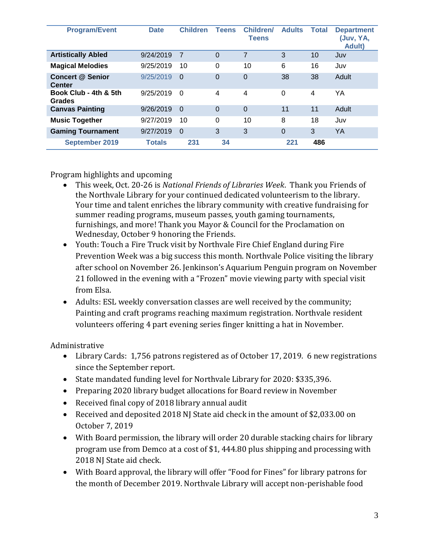| <b>Program/Event</b>                     | <b>Date</b>   | <b>Children</b> | <b>Teens</b> | Children/<br><b>Teens</b> | <b>Adults</b> | Total | <b>Department</b><br>(Juv, YA,<br><b>Adult</b> ) |
|------------------------------------------|---------------|-----------------|--------------|---------------------------|---------------|-------|--------------------------------------------------|
| <b>Artistically Abled</b>                | 9/24/2019     | -7              | $\Omega$     | 7                         | 3             | 10    | Juv                                              |
| <b>Magical Melodies</b>                  | 9/25/2019     | 10              | $\Omega$     | 10                        | 6             | 16    | Juv                                              |
| <b>Concert @ Senior</b><br><b>Center</b> | 9/25/2019     | $\Omega$        | $\Omega$     | $\Omega$                  | 38            | 38    | Adult                                            |
| Book Club - 4th & 5th<br><b>Grades</b>   | 9/25/2019     | $\Omega$        | 4            | 4                         | $\Omega$      | 4     | YΑ                                               |
| <b>Canvas Painting</b>                   | 9/26/2019     | $\Omega$        | $\Omega$     | $\Omega$                  | 11            | 11    | Adult                                            |
| <b>Music Together</b>                    | 9/27/2019     | 10              | $\Omega$     | 10                        | 8             | 18    | Juv                                              |
| <b>Gaming Tournament</b>                 | 9/27/2019     | $\Omega$        | 3            | 3                         | $\Omega$      | 3     | YA                                               |
| <b>September 2019</b>                    | <b>Totals</b> | 231             | 34           |                           | 221           | 486   |                                                  |

# Program highlights and upcoming

- This week, Oct. 20-26 is *National Friends of Libraries Week*. Thank you Friends of the Northvale Library for your continued dedicated volunteerism to the library. Your time and talent enriches the library community with creative fundraising for summer reading programs, museum passes, youth gaming tournaments, furnishings, and more! Thank you Mayor & Council for the Proclamation on Wednesday, October 9 honoring the Friends.
- Youth: Touch a Fire Truck visit by Northvale Fire Chief England during Fire Prevention Week was a big success this month. Northvale Police visiting the library after school on November 26. Jenkinson's Aquarium Penguin program on November 21 followed in the evening with a "Frozen" movie viewing party with special visit from Elsa.
- Adults: ESL weekly conversation classes are well received by the community; Painting and craft programs reaching maximum registration. Northvale resident volunteers offering 4 part evening series finger knitting a hat in November.

Administrative

- Library Cards: 1,756 patrons registered as of October 17, 2019. 6 new registrations since the September report.
- State mandated funding level for Northvale Library for 2020: \$335,396.
- Preparing 2020 library budget allocations for Board review in November
- Received final copy of 2018 library annual audit
- Received and deposited 2018 NJ State aid check in the amount of \$2,033.00 on October 7, 2019
- With Board permission, the library will order 20 durable stacking chairs for library program use from Demco at a cost of \$1, 444.80 plus shipping and processing with 2018 NJ State aid check.
- With Board approval, the library will offer "Food for Fines" for library patrons for the month of December 2019. Northvale Library will accept non-perishable food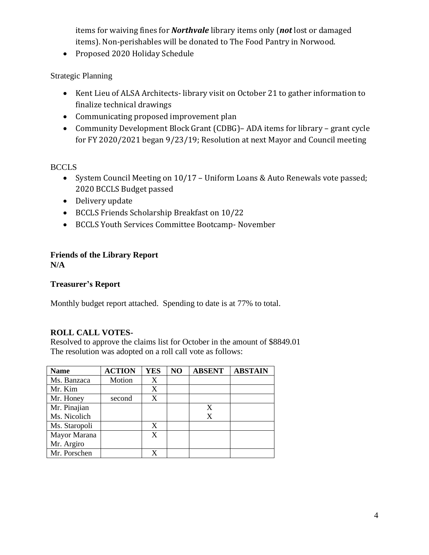items for waiving fines for *Northvale* library items only (*not* lost or damaged items). Non-perishables will be donated to The Food Pantry in Norwood.

• Proposed 2020 Holiday Schedule

Strategic Planning

- Kent Lieu of ALSA Architects- library visit on October 21 to gather information to finalize technical drawings
- Communicating proposed improvement plan
- Community Development Block Grant (CDBG)– ADA items for library grant cycle for FY 2020/2021 began 9/23/19; Resolution at next Mayor and Council meeting

BCCLS

- System Council Meeting on 10/17 Uniform Loans & Auto Renewals vote passed; 2020 BCCLS Budget passed
- Delivery update
- BCCLS Friends Scholarship Breakfast on 10/22
- BCCLS Youth Services Committee Bootcamp- November

# **Friends of the Library Report**

**N/A**

#### **Treasurer's Report**

Monthly budget report attached. Spending to date is at 77% to total.

# **ROLL CALL VOTES-**

Resolved to approve the claims list for October in the amount of \$8849.01 The resolution was adopted on a roll call vote as follows:

| <b>Name</b>   | <b>ACTION</b> | <b>YES</b> | N <sub>O</sub> | <b>ABSENT</b> | <b>ABSTAIN</b> |
|---------------|---------------|------------|----------------|---------------|----------------|
| Ms. Banzaca   | Motion        | X          |                |               |                |
| Mr. Kim       |               | X          |                |               |                |
| Mr. Honey     | second        | X          |                |               |                |
| Mr. Pinajian  |               |            |                | X             |                |
| Ms. Nicolich  |               |            |                | X             |                |
| Ms. Staropoli |               | X          |                |               |                |
| Mayor Marana  |               | X          |                |               |                |
| Mr. Argiro    |               |            |                |               |                |
| Mr. Porschen  |               | X          |                |               |                |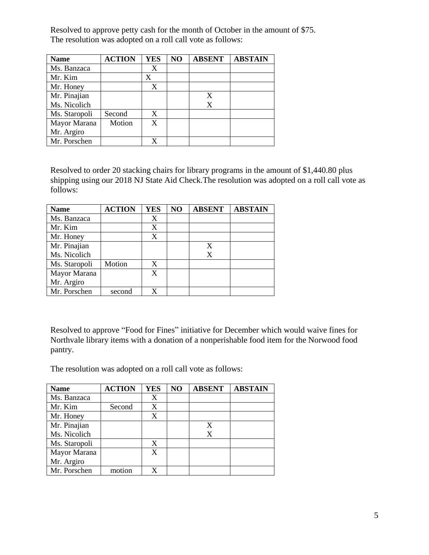Resolved to approve petty cash for the month of October in the amount of \$75. The resolution was adopted on a roll call vote as follows:

| <b>Name</b>   | <b>ACTION</b> | <b>YES</b> | NO | <b>ABSENT</b> | <b>ABSTAIN</b> |
|---------------|---------------|------------|----|---------------|----------------|
| Ms. Banzaca   |               |            |    |               |                |
| Mr. Kim       |               | X          |    |               |                |
| Mr. Honey     |               | X          |    |               |                |
| Mr. Pinajian  |               |            |    | X             |                |
| Ms. Nicolich  |               |            |    | X             |                |
| Ms. Staropoli | Second        | X          |    |               |                |
| Mayor Marana  | Motion        | X          |    |               |                |
| Mr. Argiro    |               |            |    |               |                |
| Mr. Porschen  |               |            |    |               |                |

Resolved to order 20 stacking chairs for library programs in the amount of \$1,440.80 plus shipping using our 2018 NJ State Aid Check.The resolution was adopted on a roll call vote as follows:

| <b>Name</b>   | <b>ACTION</b> | <b>YES</b> | NO | <b>ABSENT</b> | <b>ABSTAIN</b> |
|---------------|---------------|------------|----|---------------|----------------|
| Ms. Banzaca   |               | X          |    |               |                |
| Mr. Kim       |               | X          |    |               |                |
| Mr. Honey     |               | X          |    |               |                |
| Mr. Pinajian  |               |            |    | X             |                |
| Ms. Nicolich  |               |            |    | X             |                |
| Ms. Staropoli | Motion        | X          |    |               |                |
| Mayor Marana  |               | X          |    |               |                |
| Mr. Argiro    |               |            |    |               |                |
| Mr. Porschen  | second        |            |    |               |                |

Resolved to approve "Food for Fines" initiative for December which would waive fines for Northvale library items with a donation of a nonperishable food item for the Norwood food pantry.

The resolution was adopted on a roll call vote as follows:

| <b>Name</b>   | <b>ACTION</b> | <b>YES</b> | NO | <b>ABSENT</b> | <b>ABSTAIN</b> |
|---------------|---------------|------------|----|---------------|----------------|
| Ms. Banzaca   |               |            |    |               |                |
| Mr. Kim       | Second        | X          |    |               |                |
| Mr. Honey     |               | X          |    |               |                |
| Mr. Pinajian  |               |            |    | X             |                |
| Ms. Nicolich  |               |            |    | X             |                |
| Ms. Staropoli |               | X          |    |               |                |
| Mayor Marana  |               | X          |    |               |                |
| Mr. Argiro    |               |            |    |               |                |
| Mr. Porschen  | motion        | X.         |    |               |                |